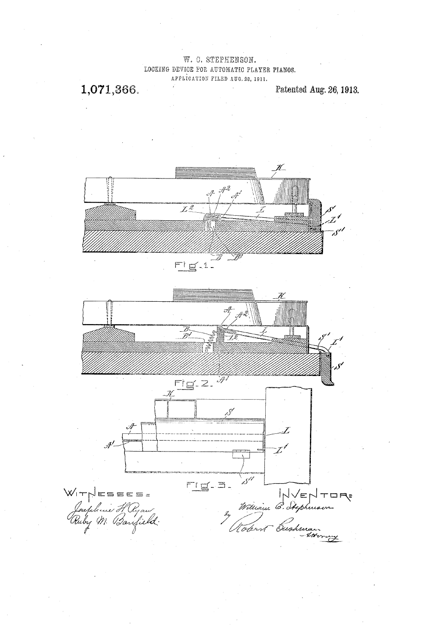W. C. STEPHENSON. LOCKING DEVICE FOR AUTOMATIC PLAYER PIANOS. APPLICATION FILED AUG. 28, 1911.

1,071,366.

Patented Aug. 26, 1913.

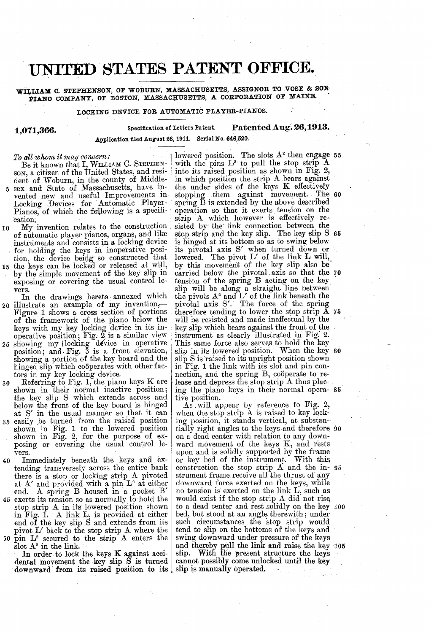## UNITED STATES PATENT OFFICE.

WILLIAM C. STEPHENSON, OF WOBURN, MASSACHUSETTS, ASSIGNOR TO VOSE & SON PIANO COMPANY, OF BOSTON, MASSACHUSETTS, A CORPORATION OF MAINE.

LocKING DEVICE FOR AUTOMATIC PLAYER-PIANOS.

## Specification of Letters Patent. Patented Aug. 26, 1913.

1,071,300. Application filed August 28, 1911. Serial No. 646,520.

To all whom it may concern:<br>Be it known that I, WILLIAM C. STEPHENSON, a citizen of the United States, and resident of Woburn, in the county of Middle-<br>5 sex and State of Massachusetts, have invented new and useful Improvements in Locking Devices for Automatic Player-<br>Pianos, of which the following is a specification:

- 0 My invention relates to the construction My invention relates to the construction of automatic player pianos, organs, and like instruments and consists in a locking device for holding the keys in inoperative position, the device being so constructed that
- 15 by the simple movement of the key slip in exposing or covering the usual control le-

In the drawings hereto annexed which  $20$  illustrate an example of my invention, 25 showing my locking device in operative position; and Fig. 3 is a front elevation, vers. In the drawings hereto annexed which Figure 1 shows a cross section of portions<br>of the framework of the piano below the<br>keys with my key locking device in its in-<br>operative position; Fig. 2 is a similar view<br>showing my ilocking device in operative<br>position; a

- 
- 30 Referring to Fig. 1, the piano keys K are<br>shown in their normal inactive position;
- 35 easily be turned from the raised position<br>shown in Fig. 1 to the lowered position Referring to Fig. 1, the piano keys K are<br>shown in their normal inactive position;<br>the key slip S which extends across and<br>below the front of the key board is hinged<br>at S' in the usual manner so that it can<br>easily be turn
- 40 Immediately beneath the keys and extending transversely across the entire bank<br>there is a stop or locking strip A pivoted at A' and provided with a pin  $L^2$  at either end. A spring B housed in a pocket B'
- 45 exerts its tension so as normally to hold the stop strip A in its lowered position shown<br>in Fig. 1. A link L, is provided at either<br>end of the key slip S and extends from its pivot  $L'$  back to the stop strip  $A$  where the 50 pin  $L^2$  secured to the strip A enters the slot  $A^2$  in the link.

In order. to lock the keys K against acci dental movement the key slip S is turned

with the pins  $L^2$  to pull the stop strip  $\overline{A}$  into its raised position as shown in Fig. 2, in which position the strip  $A$  bears against lowered position. The slots  $A^2$  then engage 55 the under sides of the keys K effectively<br>stopping them against movement. The<br>spring B is extended by the above described<br>operation so that it exerts tension on the<br>strip A which however is effectively re-<br>sisted by the li sisted by the link connection between the stop strip and the key slip. The key slip S 65 is hinged at its bottom so as to swing below<br>its pivotal axis S' when turned down or lowered. The pivot  $L'$  of the link  $L$  will, by this movement of the key slip also be carried below the pivotal axis so that the tension of the spring B acting on the key slip will be along a straight line between the pivots  $A^2$  and  $L'$  of the link beneath the pivotal axis S'. The force of the spring therefore tending to lower the stop strip  $A$ will be resisted and made ineffectual by the key slip which bears against the front of the a straight line between " of the link beneath the The 60 carried below the pivotal axis so that the 70 key sup which bears against the front of the<br>instrument as clearly illustrated in Fig. 2.<br>This same force also serves to hold the key<br>slip in its lowered position. When the key s<br>slip S is raised to its upright position sh in Fig. 1 the link with its slot and pin con-<br>nection, and the spring B, coöperate to re-<br>lease and depress the stop strip A thus placing the piano keys in their normal opera- 85

lease and depress the stop strip A thus placing the piano keys in their normal operative position.<br>As will appear by reference to Fig. 2, when the stop strip A is raised to key locking position, it stands vertical, at subs on a dead center with relation to any down ward movement of the keys K, and rests upon and is solidly supported by the frame<br>or key bed of the instrument. With this or key bed of the instrumen?. With this construction the stop strip A and the in 95 strument frame receive all the thrust of any downward force exerted on the keys, while no tension is exerted on the link L, such as would exist if the stop strip A did not rise bed, but stood at an angle therewith; under such circumstances the stop strip would tend to slip on the bottoms of the keys and 2, . tially right angles to the keys and therefore 90 to a dead center and rest solidly on the key 100 pivot L' back to the stop strip A where the lend to sinp on the bottoms of the keys and<br>pin  $L^2$  secured to the strip A enters the swing downward under pressure of the keys<br>slot  $A^2$  in the link.<br>In order to lock the ke 05

 $^{\prime}$   $^{\circ}$  .

80